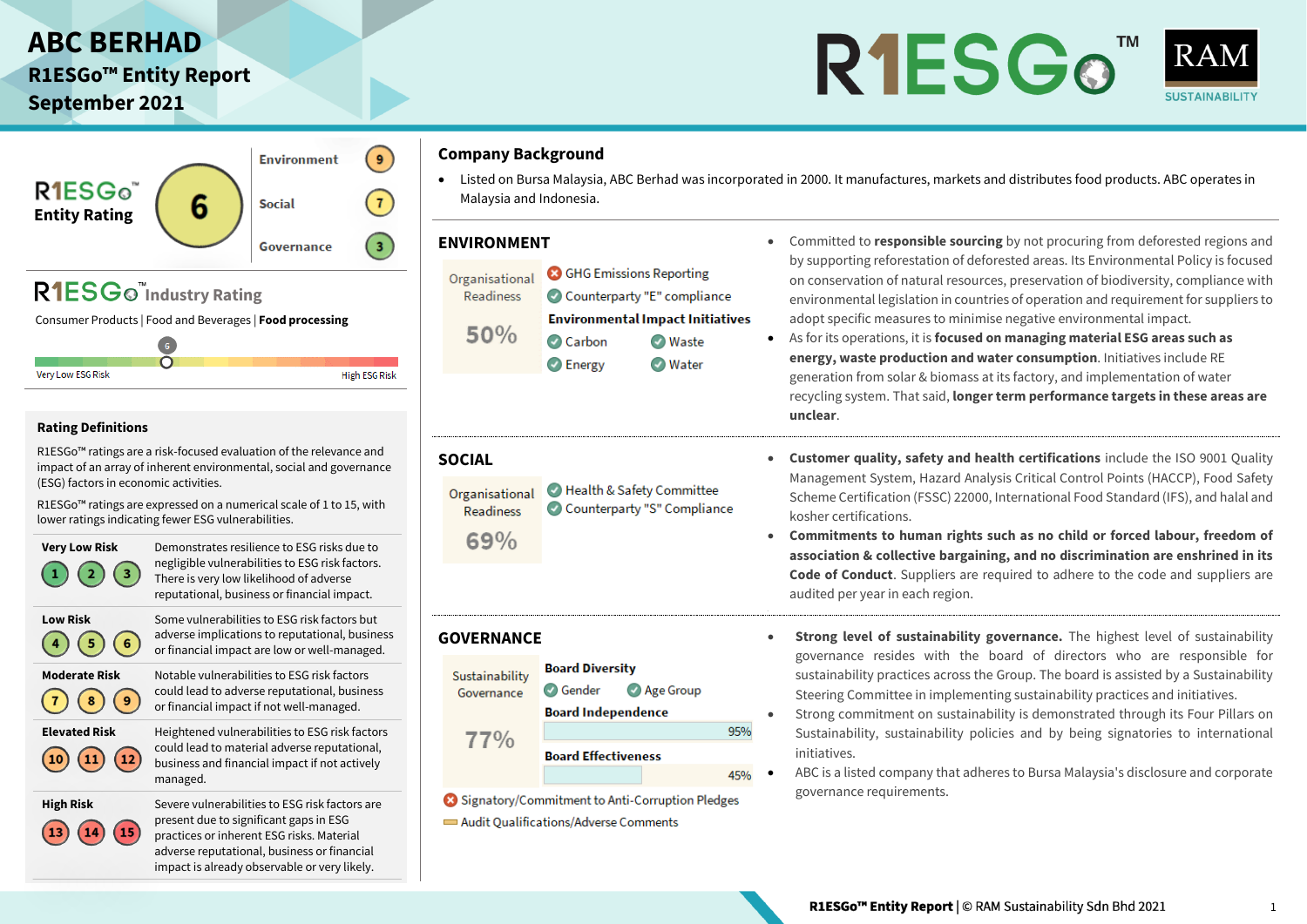## **ABC BERHAD**

**R1ESGo™ Entity Report September 2021**

# R1ESGo<sup>"</sup>



#### $\overline{9}$ **Environment** R<sub>1ESG</sub>  $\mathbf{7}$ 6 **Social Entity Rating**  $\sqrt{3}$ Governance R1ESG<sub>o</sub><sup>"</sup>Industry Rating

Consumer Products | Food and Beverages | **Food processing**

 $\overline{6}$  $\overline{O}$ Very Low ESG Risk **High ESG Risk** 

#### **Rating Definitions**

 $\overline{14}$ 

15

R1ESGo™ ratings are a risk-focused evaluation of the relevance and impact of an array of inherent environmental, social and governance (ESG) factors in economic activities.

R1ESGo™ ratings are expressed on a numerical scale of 1 to 15, with lower ratings indicating fewer ESG vulnerabilities.



**High Risk** Severe vulnerabilities to ESG risk factors are present due to significant gaps in ESG practices or inherent ESG risks. Material adverse reputational, business or financial impact is already observable or very likely.

#### **Company Background**

• Listed on Bursa Malaysia, ABC Berhad was incorporated in 2000. It manufactures, markets and distributes food products. ABC operates in Malaysia and Indonesia.

Organisational

**Readiness**  $69%$ 

Sustainability

Governance

77%

- **3** GHG Emissions Reporting Organisational Readiness Counterparty "E" compliance **Environmental Impact Initiatives** 50% Carbon **O** Waste
	- **O** Energy **O** Water

Health & Safety Committee

**Board Diversity** 

**Board Independence** 

**Board Effectiveness** 

Signatory/Commitment to Anti-Corruption Pledges

Audit Qualifications/Adverse Comments

**O** Gender

Counterparty "S" Compliance

Age Group

95%

45%

- **ENVIRONMENT •** Committed to **responsible sourcing** by not procuring from deforested regions and by supporting reforestation of deforested areas. Its Environmental Policy is focused on conservation of natural resources, preservation of biodiversity, compliance with environmental legislation in countries of operation and requirement for suppliers to adopt specific measures to minimise negative environmental impact.
	- As for its operations, it is **focused on managing material ESG areas such as energy, waste production and water consumption**. Initiatives include RE generation from solar & biomass at its factory, and implementation of water recycling system. That said, **longer term performance targets in these areas are unclear**.
- **SOCIAL Customer quality, safety and health certifications** include the ISO 9001 Quality Management System, Hazard Analysis Critical Control Points (HACCP), Food Safety Scheme Certification (FSSC) 22000, International Food Standard (IFS), and halal and kosher certifications.
	- **Commitments to human rights such as no child or forced labour, freedom of association & collective bargaining, and no discrimination are enshrined in its Code of Conduct**. Suppliers are required to adhere to the code and suppliers are audited per year in each region.
- **GOVERNANCE • Strong level of sustainability governance.** The highest level of sustainability governance resides with the board of directors who are responsible for sustainability practices across the Group. The board is assisted by a Sustainability Steering Committee in implementing sustainability practices and initiatives.
	- Strong commitment on sustainability is demonstrated through its Four Pillars on Sustainability, sustainability policies and by being signatories to international initiatives.
	- ABC is a listed company that adheres to Bursa Malaysia's disclosure and corporate governance requirements.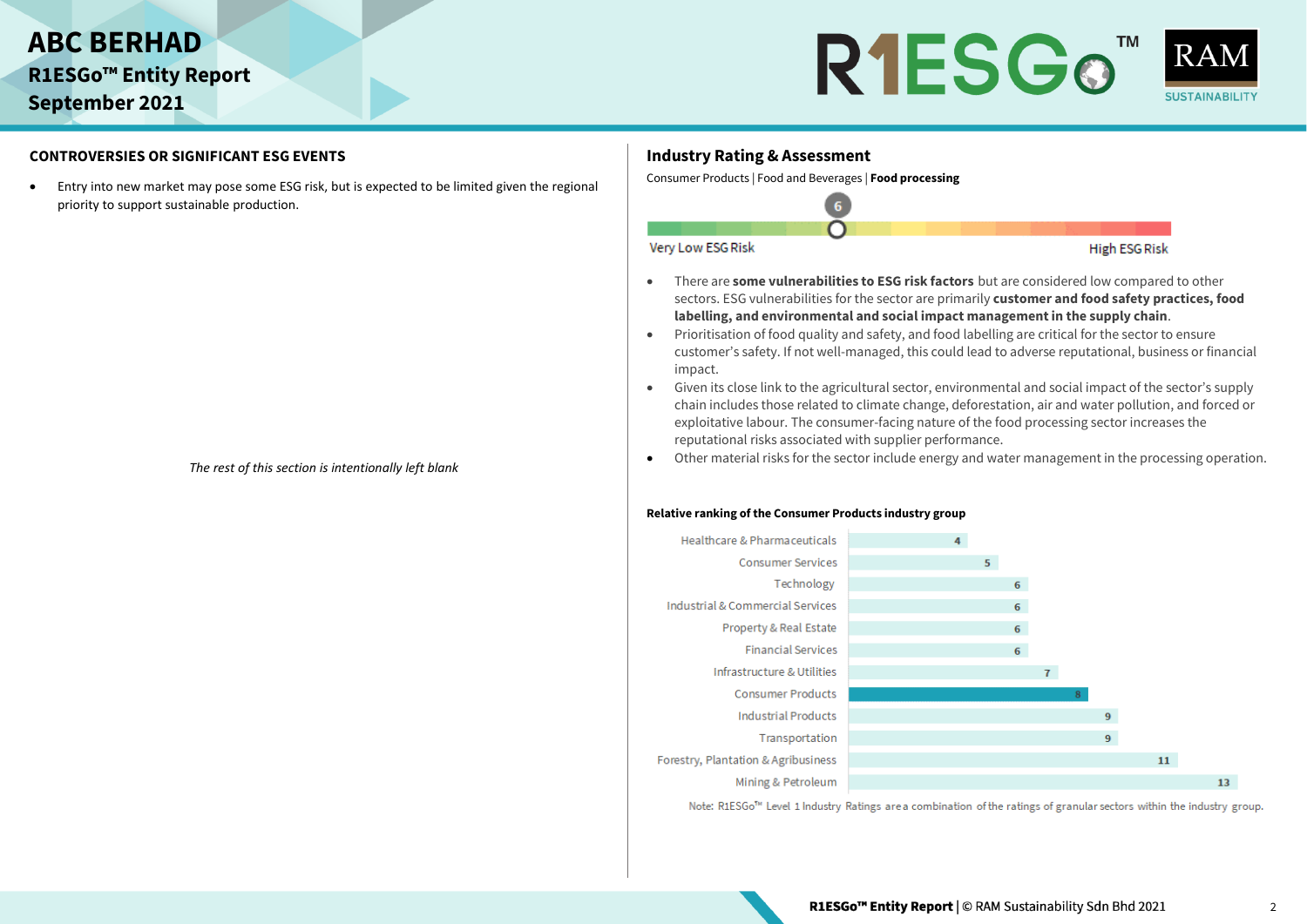



#### **CONTROVERSIES OR SIGNIFICANT ESG EVENTS**

• Entry into new market may pose some ESG risk, but is expected to be limited given the regional priority to support sustainable production.

*The rest of this section is intentionally left blank*

### **Industry Rating & Assessment**

Consumer Products | Food and Beverages | **Food processing**



- There are **some vulnerabilities to ESG risk factors** but are considered low compared to other sectors. ESG vulnerabilities for the sector are primarily **customer and food safety practices, food labelling, and environmental and social impact management in the supply chain**.
- Prioritisation of food quality and safety, and food labelling are critical for the sector to ensure customer's safety. If not well-managed, this could lead to adverse reputational, business or financial impact.
- Given its close link to the agricultural sector, environmental and social impact of the sector's supply chain includes those related to climate change, deforestation, air and water pollution, and forced or exploitative labour. The consumer-facing nature of the food processing sector increases the reputational risks associated with supplier performance.
- Other material risks for the sector include energy and water management in the processing operation.

#### **Relative ranking of the Consumer Products industry group**



Note: R1ESGo<sup>T</sup><sup>x</sup> Level 1 Industry Ratings are a combination of the ratings of granular sectors within the industry group.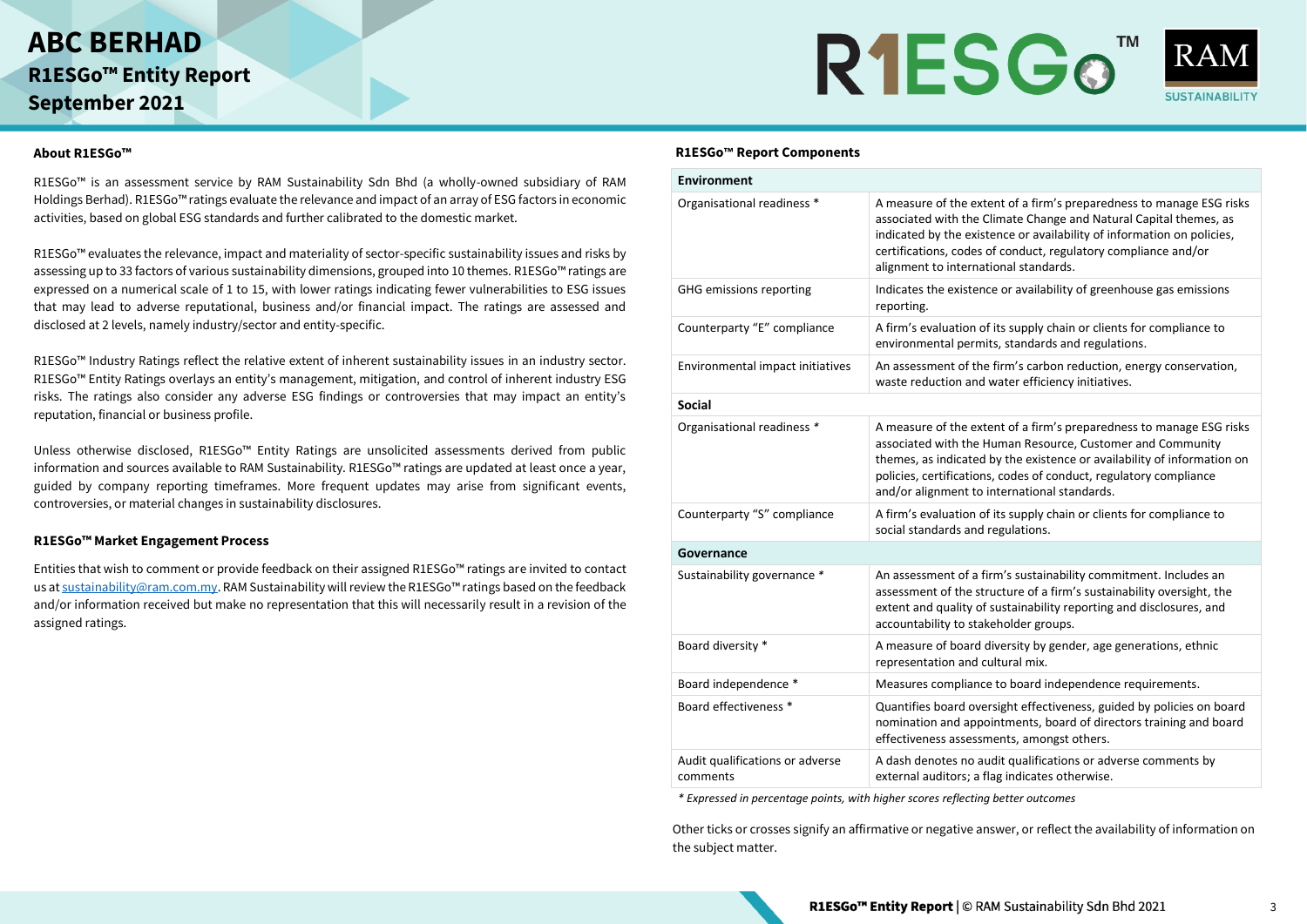



#### **About R1ESGo™**

R1ESGo™ is an assessment service by RAM Sustainability Sdn Bhd (a wholly-owned subsidiary of RAM Holdings Berhad). R1ESGo™ ratings evaluate the relevance and impact of an array of ESG factors in economic activities, based on global ESG standards and further calibrated to the domestic market.

R1ESGo™ evaluates the relevance, impact and materiality of sector-specific sustainability issues and risks by assessing up to 33 factors of various sustainability dimensions, grouped into 10 themes. R1ESGo™ ratings are expressed on a numerical scale of 1 to 15, with lower ratings indicating fewer vulnerabilities to ESG issues that may lead to adverse reputational, business and/or financial impact. The ratings are assessed and disclosed at 2 levels, namely industry/sector and entity-specific.

R1ESGo™ Industry Ratings reflect the relative extent of inherent sustainability issues in an industry sector. R1ESGo™ Entity Ratings overlays an entity's management, mitigation, and control of inherent industry ESG risks. The ratings also consider any adverse ESG findings or controversies that may impact an entity's reputation, financial or business profile.

Unless otherwise disclosed, R1ESGo™ Entity Ratings are unsolicited assessments derived from public information and sources available to RAM Sustainability. R1ESGo™ ratings are updated at least once a year, guided by company reporting timeframes. More frequent updates may arise from significant events, controversies, or material changes in sustainability disclosures.

#### **R1ESGo™ Market Engagement Process**

Entities that wish to comment or provide feedback on their assigned R1ESGo™ ratings are invited to contact us a[t sustainability@ram.com.my](mailto:sustainability@ram.com.my). RAM Sustainability will review the R1ESGo™ ratings based on the feedback and/or information received but make no representation that this will necessarily result in a revision of the assigned ratings.

#### **R1ESGo™ Report Components**

| <b>Environment</b>                          |                                                                                                                                                                                                                                                                                                                                    |
|---------------------------------------------|------------------------------------------------------------------------------------------------------------------------------------------------------------------------------------------------------------------------------------------------------------------------------------------------------------------------------------|
| Organisational readiness *                  | A measure of the extent of a firm's preparedness to manage ESG risks<br>associated with the Climate Change and Natural Capital themes, as<br>indicated by the existence or availability of information on policies,<br>certifications, codes of conduct, regulatory compliance and/or<br>alignment to international standards.     |
| GHG emissions reporting                     | Indicates the existence or availability of greenhouse gas emissions<br>reporting.                                                                                                                                                                                                                                                  |
| Counterparty "E" compliance                 | A firm's evaluation of its supply chain or clients for compliance to<br>environmental permits, standards and regulations.                                                                                                                                                                                                          |
| Environmental impact initiatives            | An assessment of the firm's carbon reduction, energy conservation,<br>waste reduction and water efficiency initiatives.                                                                                                                                                                                                            |
| <b>Social</b>                               |                                                                                                                                                                                                                                                                                                                                    |
| Organisational readiness *                  | A measure of the extent of a firm's preparedness to manage ESG risks<br>associated with the Human Resource, Customer and Community<br>themes, as indicated by the existence or availability of information on<br>policies, certifications, codes of conduct, regulatory compliance<br>and/or alignment to international standards. |
| Counterparty "S" compliance                 | A firm's evaluation of its supply chain or clients for compliance to<br>social standards and regulations.                                                                                                                                                                                                                          |
| Governance                                  |                                                                                                                                                                                                                                                                                                                                    |
| Sustainability governance *                 | An assessment of a firm's sustainability commitment. Includes an<br>assessment of the structure of a firm's sustainability oversight, the<br>extent and quality of sustainability reporting and disclosures, and<br>accountability to stakeholder groups.                                                                          |
| Board diversity *                           | A measure of board diversity by gender, age generations, ethnic<br>representation and cultural mix.                                                                                                                                                                                                                                |
| Board independence *                        | Measures compliance to board independence requirements.                                                                                                                                                                                                                                                                            |
| Board effectiveness *                       | Quantifies board oversight effectiveness, guided by policies on board<br>nomination and appointments, board of directors training and board<br>effectiveness assessments, amongst others.                                                                                                                                          |
| Audit qualifications or adverse<br>comments | A dash denotes no audit qualifications or adverse comments by<br>external auditors; a flag indicates otherwise.                                                                                                                                                                                                                    |

*\* Expressed in percentage points, with higher scores reflecting better outcomes*

Other ticks or crosses signify an affirmative or negative answer, or reflect the availability of information on the subject matter.